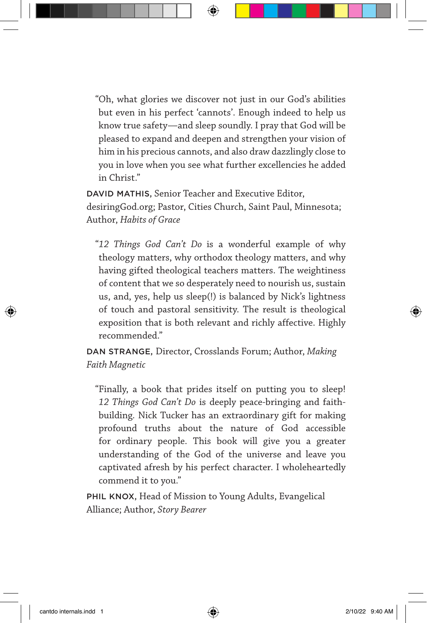"Oh, what glories we discover not just in our God's abilities but even in his perfect 'cannots'. Enough indeed to help us know true safety—and sleep soundly. I pray that God will be pleased to expand and deepen and strengthen your vision of him in his precious cannots, and also draw dazzlingly close to you in love when you see what further excellencies he added in Christ."

DAVID MATHIS, Senior Teacher and Executive Editor, desiringGod.org; Pastor, Cities Church, Saint Paul, Minnesota; Author, *Habits of Grace*

"*12 Things God Can't Do* is a wonderful example of why theology matters, why orthodox theology matters, and why having gifted theological teachers matters. The weightiness of content that we so desperately need to nourish us, sustain us, and, yes, help us sleep(!) is balanced by Nick's lightness of touch and pastoral sensitivity. The result is theological exposition that is both relevant and richly affective. Highly recommended."

DAN STRANGE, Director, Crosslands Forum; Author, *Making Faith Magnetic* 

"Finally, a book that prides itself on putting you to sleep! *12 Things God Can't Do* is deeply peace-bringing and faithbuilding. Nick Tucker has an extraordinary gift for making profound truths about the nature of God accessible for ordinary people. This book will give you a greater understanding of the God of the universe and leave you captivated afresh by his perfect character. I wholeheartedly commend it to you."

PHIL KNOX, Head of Mission to Young Adults, Evangelical Alliance; Author, *Story Bearer*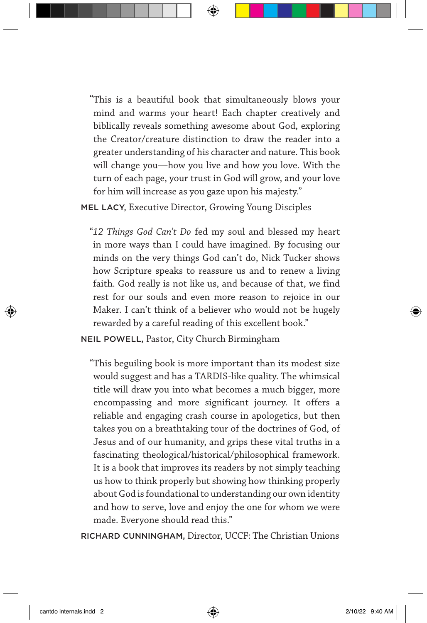- "This is a beautiful book that simultaneously blows your mind and warms your heart! Each chapter creatively and biblically reveals something awesome about God, exploring the Creator/creature distinction to draw the reader into a greater understanding of his character and nature. This book will change you—how you live and how you love. With the turn of each page, your trust in God will grow, and your love for him will increase as you gaze upon his majesty."
- MEL LACY, Executive Director, Growing Young Disciples
	- "*12 Things God Can't Do* fed my soul and blessed my heart in more ways than I could have imagined. By focusing our minds on the very things God can't do, Nick Tucker shows how Scripture speaks to reassure us and to renew a living faith. God really is not like us, and because of that, we find rest for our souls and even more reason to rejoice in our Maker. I can't think of a believer who would not be hugely rewarded by a careful reading of this excellent book."
- NEIL POWELL, Pastor, City Church Birmingham
	- "This beguiling book is more important than its modest size would suggest and has a TARDIS-like quality. The whimsical title will draw you into what becomes a much bigger, more encompassing and more significant journey. It offers a reliable and engaging crash course in apologetics, but then takes you on a breathtaking tour of the doctrines of God, of Jesus and of our humanity, and grips these vital truths in a fascinating theological/historical/philosophical framework. It is a book that improves its readers by not simply teaching us how to think properly but showing how thinking properly about God is foundational to understanding our own identity and how to serve, love and enjoy the one for whom we were made. Everyone should read this."
- RICHARD CUNNINGHAM, Director, UCCF: The Christian Unions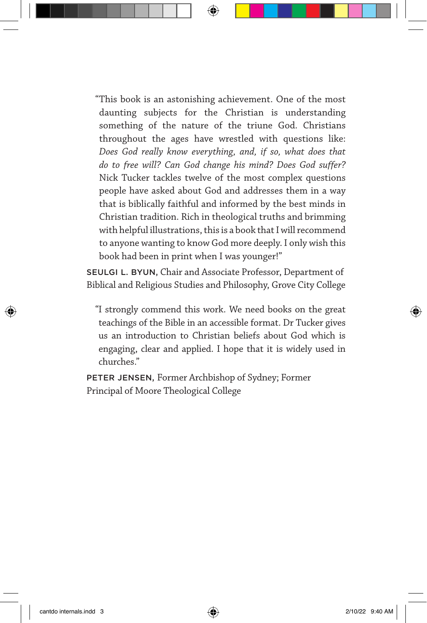"This book is an astonishing achievement. One of the most daunting subjects for the Christian is understanding something of the nature of the triune God. Christians throughout the ages have wrestled with questions like: *Does God really know everything, and, if so, what does that do to free will? Can God change his mind? Does God suffer?*  Nick Tucker tackles twelve of the most complex questions people have asked about God and addresses them in a way that is biblically faithful and informed by the best minds in Christian tradition. Rich in theological truths and brimming with helpful illustrations, this is a book that I will recommend to anyone wanting to know God more deeply. I only wish this book had been in print when I was younger!"

SEULGI L. BYUN, Chair and Associate Professor, Department of Biblical and Religious Studies and Philosophy, Grove City College

"I strongly commend this work. We need books on the great teachings of the Bible in an accessible format. Dr Tucker gives us an introduction to Christian beliefs about God which is engaging, clear and applied. I hope that it is widely used in churches."

PETER JENSEN, Former Archbishop of Sydney; Former Principal of Moore Theological College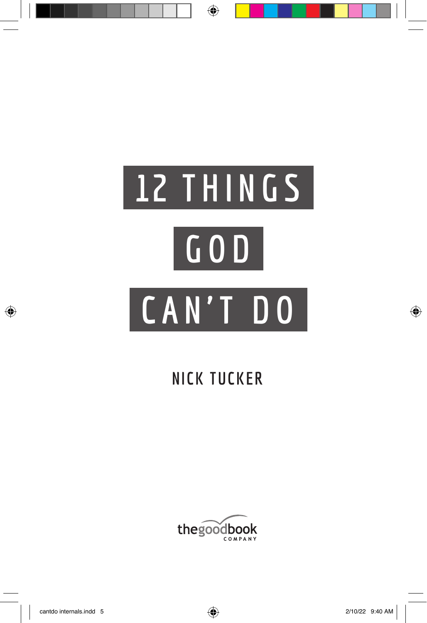# **12 T H I N G S G O D CAN'T DO**

### **NICK TUCKER**

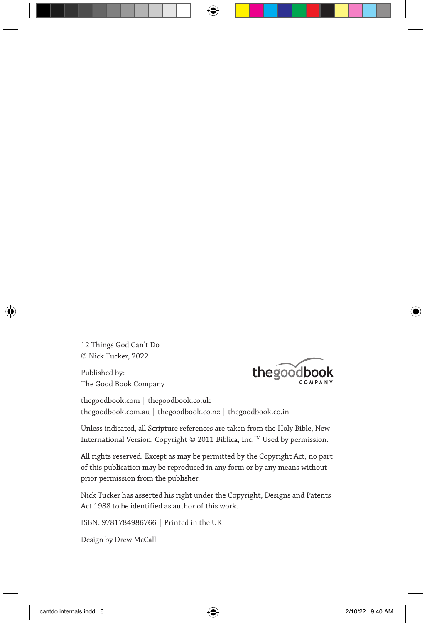12 Things God Can't Do © Nick Tucker, 2022

Published by: The Good Book Company



thegoodbook.com | thegoodbook.co.uk thegoodbook.com.au | thegoodbook.co.nz | thegoodbook.co.in

Unless indicated, all Scripture references are taken from the Holy Bible, New International Version. Copyright © 2011 Biblica, Inc.TM Used by permission.

All rights reserved. Except as may be permitted by the Copyright Act, no part of this publication may be reproduced in any form or by any means without prior permission from the publisher.

Nick Tucker has asserted his right under the Copyright, Designs and Patents Act 1988 to be identified as author of this work.

ISBN: 9781784986766 | Printed in the UK

Design by Drew McCall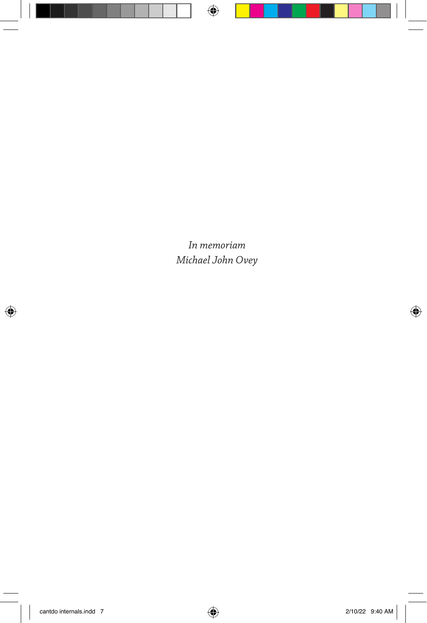*In memoriam Michael John Ovey*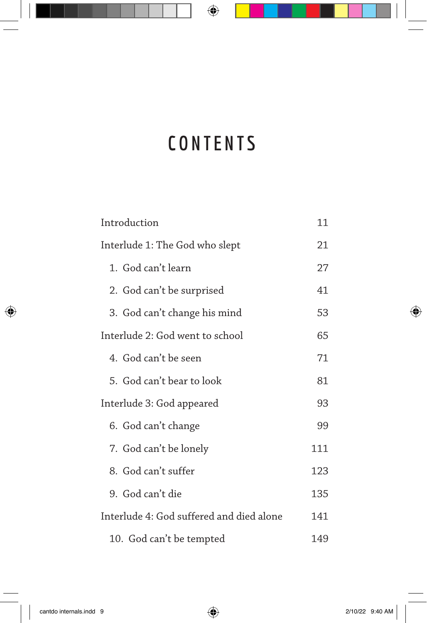## **CONTENTS**

| Introduction                             | 11  |
|------------------------------------------|-----|
| Interlude 1: The God who slept           | 21  |
| 1. God can't learn                       | 27  |
| 2. God can't be surprised                | 41  |
| 3. God can't change his mind             | 53  |
| Interlude 2: God went to school          | 65  |
| 4. God can't be seen                     | 71  |
| 5. God can't bear to look                | 81  |
| Interlude 3: God appeared                | 93  |
| 6. God can't change                      | 99  |
| 7. God can't be lonely                   | 111 |
| 8. God can't suffer                      | 123 |
| 9. God can't die                         | 135 |
| Interlude 4: God suffered and died alone | 141 |
| 10. God can't be tempted                 | 149 |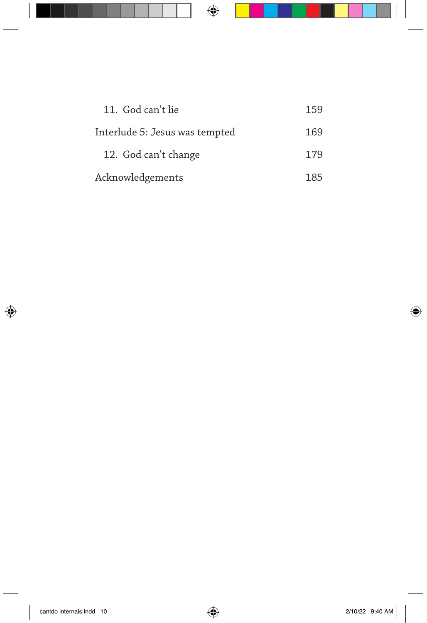| 11. God can't lie              | 159 |
|--------------------------------|-----|
| Interlude 5: Jesus was tempted | 169 |
| 12. God can't change           | 179 |
| Acknowledgements               | 185 |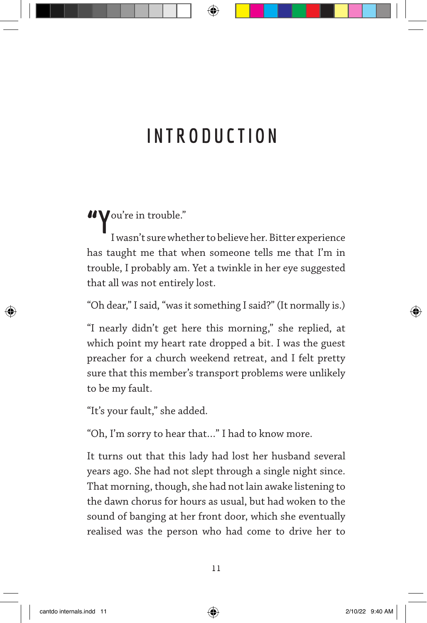## **INTRODUCTION**

#### **"Y**ou're in trouble."

I wasn't sure whether to believe her. Bitter experience has taught me that when someone tells me that I'm in trouble, I probably am. Yet a twinkle in her eye suggested that all was not entirely lost.

"Oh dear," I said, "was it something I said?" (It normally is.)

"I nearly didn't get here this morning," she replied, at which point my heart rate dropped a bit. I was the guest preacher for a church weekend retreat, and I felt pretty sure that this member's transport problems were unlikely to be my fault.

"It's your fault," she added.

"Oh, I'm sorry to hear that…" I had to know more.

It turns out that this lady had lost her husband several years ago. She had not slept through a single night since. That morning, though, she had not lain awake listening to the dawn chorus for hours as usual, but had woken to the sound of banging at her front door, which she eventually realised was the person who had come to drive her to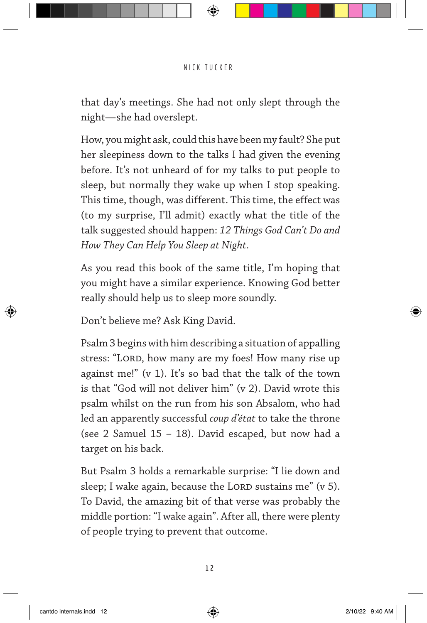that day's meetings. She had not only slept through the night—she had overslept.

How, you might ask, could this have been my fault? She put her sleepiness down to the talks I had given the evening before. It's not unheard of for my talks to put people to sleep, but normally they wake up when I stop speaking. This time, though, was different. This time, the effect was (to my surprise, I'll admit) exactly what the title of the talk suggested should happen: *12 Things God Can't Do and How They Can Help You Sleep at Night*.

As you read this book of the same title, I'm hoping that you might have a similar experience. Knowing God better really should help us to sleep more soundly.

Don't believe me? Ask King David.

Psalm 3 begins with him describing a situation of appalling stress: "LORD, how many are my foes! How many rise up against me!" (v 1). It's so bad that the talk of the town is that "God will not deliver him" (v 2). David wrote this psalm whilst on the run from his son Absalom, who had led an apparently successful *coup d'état* to take the throne (see 2 Samuel 15 – 18). David escaped, but now had a target on his back.

But Psalm 3 holds a remarkable surprise: "I lie down and sleep; I wake again, because the LORD sustains me"  $(v 5)$ . To David, the amazing bit of that verse was probably the middle portion: "I wake again". After all, there were plenty of people trying to prevent that outcome.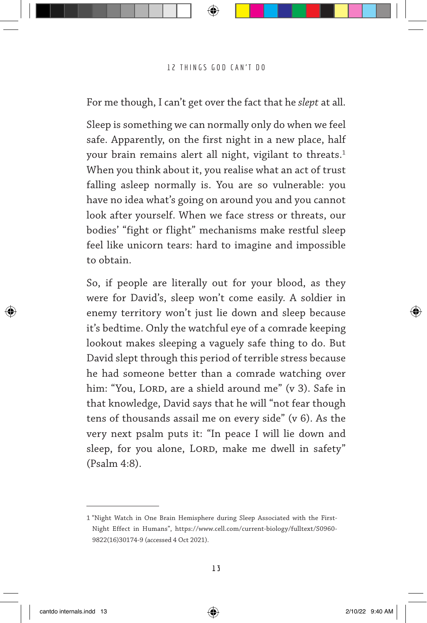For me though, I can't get over the fact that he *slept* at all.

Sleep is something we can normally only do when we feel safe. Apparently, on the first night in a new place, half your brain remains alert all night, vigilant to threats.<sup>1</sup> When you think about it, you realise what an act of trust falling asleep normally is. You are so vulnerable: you have no idea what's going on around you and you cannot look after yourself. When we face stress or threats, our bodies' "fight or flight" mechanisms make restful sleep feel like unicorn tears: hard to imagine and impossible to obtain.

So, if people are literally out for your blood, as they were for David's, sleep won't come easily. A soldier in enemy territory won't just lie down and sleep because it's bedtime. Only the watchful eye of a comrade keeping lookout makes sleeping a vaguely safe thing to do. But David slept through this period of terrible stress because he had someone better than a comrade watching over him: "You, LORD, are a shield around me" (v 3). Safe in that knowledge, David says that he will "not fear though tens of thousands assail me on every side" (v 6). As the very next psalm puts it: "In peace I will lie down and sleep, for you alone, LORD, make me dwell in safety" (Psalm 4:8).

<sup>1 &</sup>quot;Night Watch in One Brain Hemisphere during Sleep Associated with the First-Night Effect in Humans", https://www.cell.com/current-biology/fulltext/S0960- 9822(16)30174-9 (accessed 4 Oct 2021).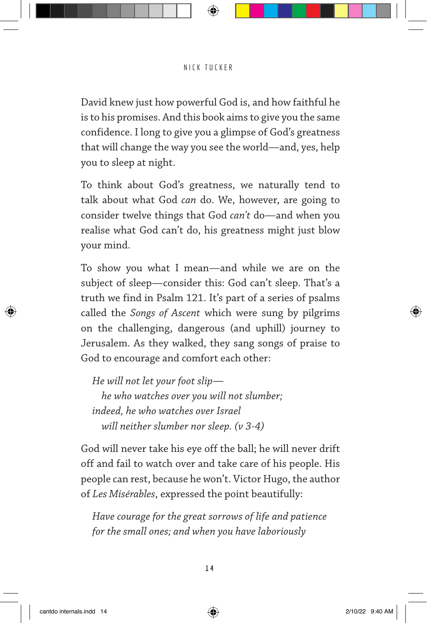David knew just how powerful God is, and how faithful he is to his promises. And this book aims to give you the same confidence. I long to give you a glimpse of God's greatness that will change the way you see the world—and, yes, help you to sleep at night.

To think about God's greatness, we naturally tend to talk about what God *can* do. We, however, are going to consider twelve things that God *can't* do—and when you realise what God can't do, his greatness might just blow your mind.

To show you what I mean—and while we are on the subject of sleep—consider this: God can't sleep. That's a truth we find in Psalm 121. It's part of a series of psalms called the *Songs of Ascent* which were sung by pilgrims on the challenging, dangerous (and uphill) journey to Jerusalem. As they walked, they sang songs of praise to God to encourage and comfort each other:

*He will not let your foot slip he who watches over you will not slumber; indeed, he who watches over Israel will neither slumber nor sleep. (v 3-4)*

God will never take his eye off the ball; he will never drift off and fail to watch over and take care of his people. His people can rest, because he won't. Victor Hugo, the author of *Les Misérables*, expressed the point beautifully:

*Have courage for the great sorrows of life and patience for the small ones; and when you have laboriously*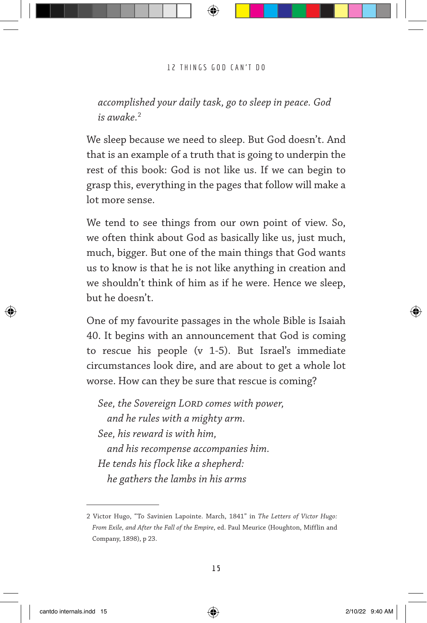*accomplished your daily task, go to sleep in peace. God is awake.*<sup>2</sup>

We sleep because we need to sleep. But God doesn't. And that is an example of a truth that is going to underpin the rest of this book: God is not like us. If we can begin to grasp this, everything in the pages that follow will make a lot more sense.

We tend to see things from our own point of view. So, we often think about God as basically like us, just much, much, bigger. But one of the main things that God wants us to know is that he is not like anything in creation and we shouldn't think of him as if he were. Hence we sleep, but he doesn't.

One of my favourite passages in the whole Bible is Isaiah 40. It begins with an announcement that God is coming to rescue his people (v 1-5). But Israel's immediate circumstances look dire, and are about to get a whole lot worse. How can they be sure that rescue is coming?

*See, the Sovereign Lord comes with power, and he rules with a mighty arm. See, his reward is with him, and his recompense accompanies him. He tends his flock like a shepherd: he gathers the lambs in his arms* 

<sup>2</sup> Victor Hugo, "To Savinien Lapointe. March, 1841" in *The Letters of Victor Hugo: From Exile, and After the Fall of the Empire*, ed. Paul Meurice (Houghton, Mifflin and Company, 1898), p 23.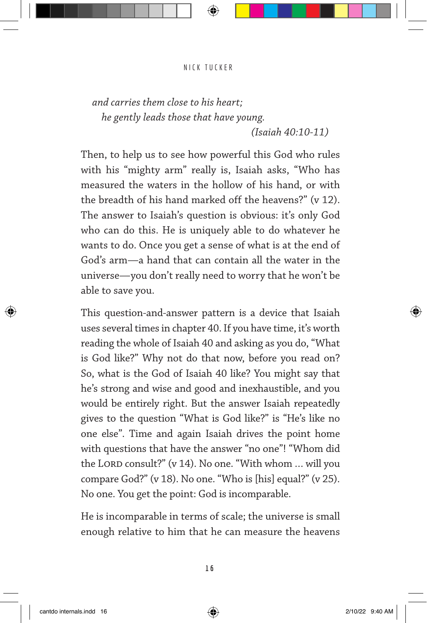*and carries them close to his heart; he gently leads those that have young. (Isaiah 40:10-11)* 

Then, to help us to see how powerful this God who rules with his "mighty arm" really is, Isaiah asks, "Who has measured the waters in the hollow of his hand, or with the breadth of his hand marked off the heavens?" (v 12). The answer to Isaiah's question is obvious: it's only God who can do this. He is uniquely able to do whatever he wants to do. Once you get a sense of what is at the end of God's arm—a hand that can contain all the water in the universe—you don't really need to worry that he won't be able to save you.

This question-and-answer pattern is a device that Isaiah uses several times in chapter 40. If you have time, it's worth reading the whole of Isaiah 40 and asking as you do, "What is God like?" Why not do that now, before you read on? So, what is the God of Isaiah 40 like? You might say that he's strong and wise and good and inexhaustible, and you would be entirely right. But the answer Isaiah repeatedly gives to the question "What is God like?" is "He's like no one else". Time and again Isaiah drives the point home with questions that have the answer "no one"! "Whom did the LORD consult?" (v 14). No one. "With whom ... will you compare God?" (v 18). No one. "Who is [his] equal?" (v 25). No one. You get the point: God is incomparable.

He is incomparable in terms of scale; the universe is small enough relative to him that he can measure the heavens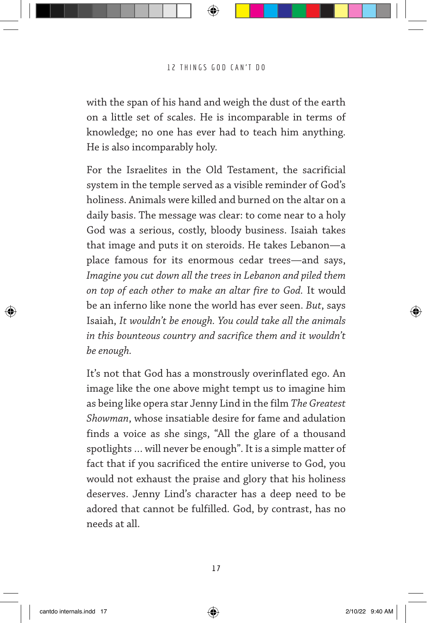with the span of his hand and weigh the dust of the earth on a little set of scales. He is incomparable in terms of knowledge; no one has ever had to teach him anything. He is also incomparably holy.

For the Israelites in the Old Testament, the sacrificial system in the temple served as a visible reminder of God's holiness. Animals were killed and burned on the altar on a daily basis. The message was clear: to come near to a holy God was a serious, costly, bloody business. Isaiah takes that image and puts it on steroids. He takes Lebanon—a place famous for its enormous cedar trees—and says, *Imagine you cut down all the trees in Lebanon and piled them on top of each other to make an altar fire to God.* It would be an inferno like none the world has ever seen. *But*, says Isaiah, *It wouldn't be enough. You could take all the animals in this bounteous country and sacrifice them and it wouldn't be enough.*

It's not that God has a monstrously overinflated ego. An image like the one above might tempt us to imagine him as being like opera star Jenny Lind in the film *The Greatest Showman*, whose insatiable desire for fame and adulation finds a voice as she sings, "All the glare of a thousand spotlights … will never be enough". It is a simple matter of fact that if you sacrificed the entire universe to God, you would not exhaust the praise and glory that his holiness deserves. Jenny Lind's character has a deep need to be adored that cannot be fulfilled. God, by contrast, has no needs at all.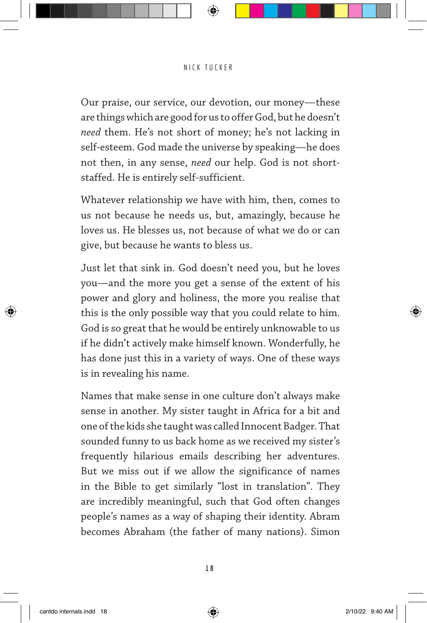#### NICK TUCKER

Our praise, our service, our devotion, our money—these are things which are good for us to offer God, but he doesn't *need* them. He's not short of money; he's not lacking in self-esteem. God made the universe by speaking—he does not then, in any sense, *need* our help. God is not shortstaffed. He is entirely self-sufficient.

Whatever relationship we have with him, then, comes to us not because he needs us, but, amazingly, because he loves us. He blesses us, not because of what we do or can give, but because he wants to bless us.

Just let that sink in. God doesn't need you, but he loves you—and the more you get a sense of the extent of his power and glory and holiness, the more you realise that this is the only possible way that you could relate to him. God is so great that he would be entirely unknowable to us if he didn't actively make himself known. Wonderfully, he has done just this in a variety of ways. One of these ways is in revealing his name.

Names that make sense in one culture don't always make sense in another. My sister taught in Africa for a bit and one of the kids she taught was called Innocent Badger. That sounded funny to us back home as we received my sister's frequently hilarious emails describing her adventures. But we miss out if we allow the significance of names in the Bible to get similarly "lost in translation". They are incredibly meaningful, such that God often changes people's names as a way of shaping their identity. Abram becomes Abraham (the father of many nations). Simon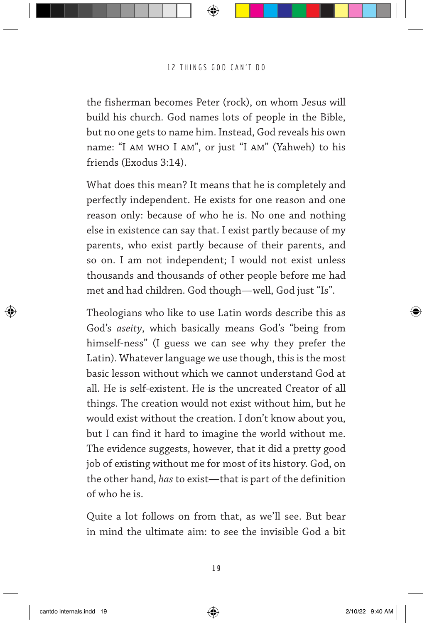the fisherman becomes Peter (rock), on whom Jesus will build his church. God names lots of people in the Bible, but no one gets to name him. Instead, God reveals his own name: "I am who I am", or just "I am" (Yahweh) to his friends (Exodus 3:14).

What does this mean? It means that he is completely and perfectly independent. He exists for one reason and one reason only: because of who he is. No one and nothing else in existence can say that. I exist partly because of my parents, who exist partly because of their parents, and so on. I am not independent; I would not exist unless thousands and thousands of other people before me had met and had children. God though—well, God just "Is".

Theologians who like to use Latin words describe this as God's *aseity*, which basically means God's "being from himself-ness" (I guess we can see why they prefer the Latin). Whatever language we use though, this is the most basic lesson without which we cannot understand God at all. He is self-existent. He is the uncreated Creator of all things. The creation would not exist without him, but he would exist without the creation. I don't know about you, but I can find it hard to imagine the world without me. The evidence suggests, however, that it did a pretty good job of existing without me for most of its history. God, on the other hand, *has* to exist—that is part of the definition of who he is.

Quite a lot follows on from that, as we'll see. But bear in mind the ultimate aim: to see the invisible God a bit